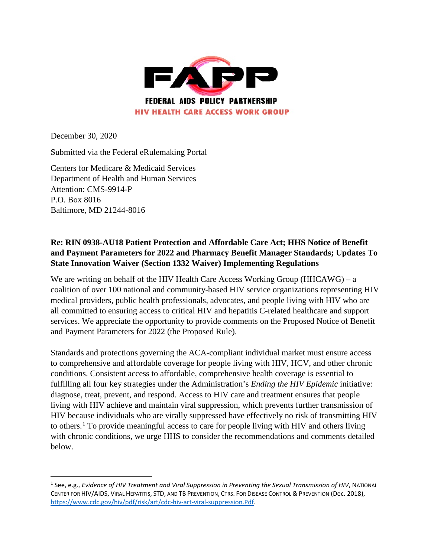

December 30, 2020

Submitted via the Federal eRulemaking Portal

Centers for Medicare & Medicaid Services Department of Health and Human Services Attention: CMS-9914-P P.O. Box 8016 Baltimore, MD 21244-8016

## **Re: RIN 0938-AU18 Patient Protection and Affordable Care Act; HHS Notice of Benefit and Payment Parameters for 2022 and Pharmacy Benefit Manager Standards; Updates To State Innovation Waiver (Section 1332 Waiver) Implementing Regulations**

We are writing on behalf of the HIV Health Care Access Working Group (HHCAWG) – a coalition of over 100 national and community-based HIV service organizations representing HIV medical providers, public health professionals, advocates, and people living with HIV who are all committed to ensuring access to critical HIV and hepatitis C-related healthcare and support services. We appreciate the opportunity to provide comments on the Proposed Notice of Benefit and Payment Parameters for 2022 (the Proposed Rule).

Standards and protections governing the ACA-compliant individual market must ensure access to comprehensive and affordable coverage for people living with HIV, HCV, and other chronic conditions. Consistent access to affordable, comprehensive health coverage is essential to fulfilling all four key strategies under the Administration's *Ending the HIV Epidemic* initiative: diagnose, treat, prevent, and respond. Access to HIV care and treatment ensures that people living with HIV achieve and maintain viral suppression, which prevents further transmission of HIV because individuals who are virally suppressed have effectively no risk of transmitting HIV to others.[1](#page-0-0) To provide meaningful access to care for people living with HIV and others living with chronic conditions, we urge HHS to consider the recommendations and comments detailed below.

<span id="page-0-0"></span> <sup>1</sup> See, e.g., *Evidence of HIV Treatment and Viral Suppression in Preventing the Sexual Transmission of HIV*, NATIONAL CENTER FOR HIV/AIDS, VIRAL HEPATITIS, STD, AND TB PREVENTION, CTRS. FOR DISEASE CONTROL & PREVENTION (Dec. 2018), [https://www.cdc.gov/hiv/pdf/risk/art/cdc-hiv-art-viral-suppression.Pdf.](https://www.cdc.gov/hiv/pdf/risk/art/cdc-hiv-art-viral-suppression.Pdf)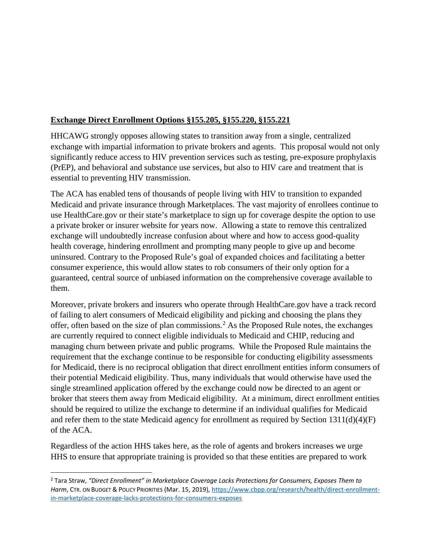## **Exchange Direct Enrollment Options §155.205, §155.220, §155.221**

HHCAWG strongly opposes allowing states to transition away from a single, centralized exchange with impartial information to private brokers and agents. This proposal would not only significantly reduce access to HIV prevention services such as testing, pre-exposure prophylaxis (PrEP), and behavioral and substance use services, but also to HIV care and treatment that is essential to preventing HIV transmission.

The ACA has enabled tens of thousands of people living with HIV to transition to expanded Medicaid and private insurance through Marketplaces. The vast majority of enrollees continue to use HealthCare.gov or their state's marketplace to sign up for coverage despite the option to use a private broker or insurer website for years now. Allowing a state to remove this centralized exchange will undoubtedly increase confusion about where and how to access good-quality health coverage, hindering enrollment and prompting many people to give up and become uninsured. Contrary to the Proposed Rule's goal of expanded choices and facilitating a better consumer experience, this would allow states to rob consumers of their only option for a guaranteed, central source of unbiased information on the comprehensive coverage available to them.

Moreover, private brokers and insurers who operate through HealthCare.gov have a track record of failing to alert consumers of Medicaid eligibility and picking and choosing the plans they offer, often based on the size of plan commissions.[2](#page-1-0) As the Proposed Rule notes, the exchanges are currently required to connect eligible individuals to Medicaid and CHIP, reducing and managing churn between private and public programs. While the Proposed Rule maintains the requirement that the exchange continue to be responsible for conducting eligibility assessments for Medicaid, there is no reciprocal obligation that direct enrollment entities inform consumers of their potential Medicaid eligibility. Thus, many individuals that would otherwise have used the single streamlined application offered by the exchange could now be directed to an agent or broker that steers them away from Medicaid eligibility. At a minimum, direct enrollment entities should be required to utilize the exchange to determine if an individual qualifies for Medicaid and refer them to the state Medicaid agency for enrollment as required by Section  $1311(d)(4)(F)$ of the ACA.

Regardless of the action HHS takes here, as the role of agents and brokers increases we urge HHS to ensure that appropriate training is provided so that these entities are prepared to work

<span id="page-1-0"></span> <sup>2</sup> Tara Straw, *"Direct Enrollment" in Marketplace Coverage Lacks Protections for Consumers, Exposes Them to Harm*, CTR. ON BUDGET & POLICY PRIORITIES (Mar. 15, 2019), [https://www.cbpp.org/research/health/direct-enrollment](https://www.cbpp.org/research/health/direct-enrollment-in-marketplace-coverage-lacks-protections-for-consumers-exposes)[in-marketplace-coverage-lacks-protections-for-consumers-exposes](https://www.cbpp.org/research/health/direct-enrollment-in-marketplace-coverage-lacks-protections-for-consumers-exposes)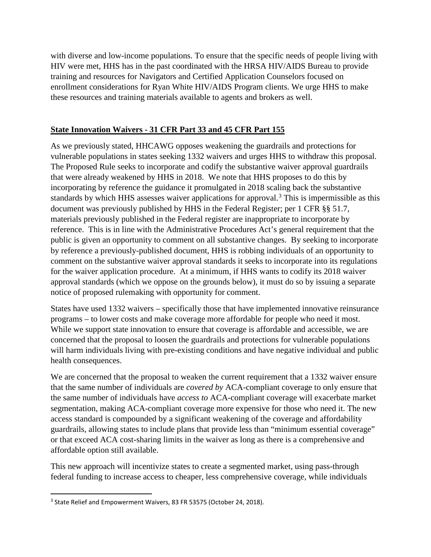with diverse and low-income populations. To ensure that the specific needs of people living with HIV were met, HHS has in the past coordinated with the HRSA HIV/AIDS Bureau to provide training and resources for Navigators and Certified Application Counselors focused on enrollment considerations for Ryan White HIV/AIDS Program clients. We urge HHS to make these resources and training materials available to agents and brokers as well.

# **State Innovation Waivers - 31 CFR Part 33 and 45 CFR Part 155**

As we previously stated, HHCAWG opposes weakening the guardrails and protections for vulnerable populations in states seeking 1332 waivers and urges HHS to withdraw this proposal. The Proposed Rule seeks to incorporate and codify the substantive waiver approval guardrails that were already weakened by HHS in 2018. We note that HHS proposes to do this by incorporating by reference the guidance it promulgated in 2018 scaling back the substantive standards by which HHS assesses waiver applications for approval.<sup>[3](#page-2-0)</sup> This is impermissible as this document was previously published by HHS in the Federal Register; per 1 CFR §§ 51.7, materials previously published in the Federal register are inappropriate to incorporate by reference. This is in line with the Administrative Procedures Act's general requirement that the public is given an opportunity to comment on all substantive changes. By seeking to incorporate by reference a previously-published document, HHS is robbing individuals of an opportunity to comment on the substantive waiver approval standards it seeks to incorporate into its regulations for the waiver application procedure. At a minimum, if HHS wants to codify its 2018 waiver approval standards (which we oppose on the grounds below), it must do so by issuing a separate notice of proposed rulemaking with opportunity for comment.

States have used 1332 waivers – specifically those that have implemented innovative reinsurance programs – to lower costs and make coverage more affordable for people who need it most. While we support state innovation to ensure that coverage is affordable and accessible, we are concerned that the proposal to loosen the guardrails and protections for vulnerable populations will harm individuals living with pre-existing conditions and have negative individual and public health consequences.

We are concerned that the proposal to weaken the current requirement that a 1332 waiver ensure that the same number of individuals are *covered by* ACA-compliant coverage to only ensure that the same number of individuals have *access to* ACA-compliant coverage will exacerbate market segmentation, making ACA-compliant coverage more expensive for those who need it. The new access standard is compounded by a significant weakening of the coverage and affordability guardrails, allowing states to include plans that provide less than "minimum essential coverage" or that exceed ACA cost-sharing limits in the waiver as long as there is a comprehensive and affordable option still available.

This new approach will incentivize states to create a segmented market, using pass-through federal funding to increase access to cheaper, less comprehensive coverage, while individuals

<span id="page-2-0"></span><sup>&</sup>lt;sup>3</sup> State Relief and Empowerment Waivers, 83 FR 53575 (October 24, 2018).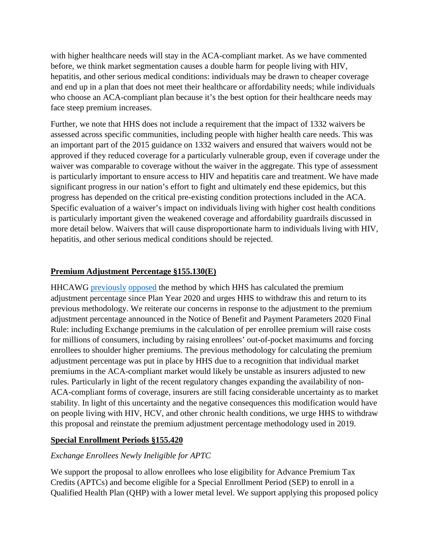with higher healthcare needs will stay in the ACA-compliant market. As we have commented before, we think market segmentation causes a double harm for people living with HIV, hepatitis, and other serious medical conditions: individuals may be drawn to cheaper coverage and end up in a plan that does not meet their healthcare or affordability needs; while individuals who choose an ACA-compliant plan because it's the best option for their healthcare needs may face steep premium increases.

Further, we note that HHS does not include a requirement that the impact of 1332 waivers be assessed across specific communities, including people with higher health care needs. This was an important part of the 2015 guidance on 1332 waivers and ensured that waivers would not be approved if they reduced coverage for a particularly vulnerable group, even if coverage under the waiver was comparable to coverage without the waiver in the aggregate. This type of assessment is particularly important to ensure access to HIV and hepatitis care and treatment. We have made significant progress in our nation's effort to fight and ultimately end these epidemics, but this progress has depended on the critical pre-existing condition protections included in the ACA. Specific evaluation of a waiver's impact on individuals living with higher cost health conditions is particularly important given the weakened coverage and affordability guardrails discussed in more detail below. Waivers that will cause disproportionate harm to individuals living with HIV, hepatitis, and other serious medical conditions should be rejected.

# **Premium Adjustment Percentage §155.130(E)**

HHCAWG [previously](https://www.chlpi.org/wp-content/uploads/2013/12/HHCAWG-NBPP-Comments-for-2020.pdf) [opposed](https://www.chlpi.org/wp-content/uploads/2013/12/HHCAWG-NBPP-Comments-for-2021.pdf) the method by which HHS has calculated the premium adjustment percentage since Plan Year 2020 and urges HHS to withdraw this and return to its previous methodology. We reiterate our concerns in response to the adjustment to the premium adjustment percentage announced in the Notice of Benefit and Payment Parameters 2020 Final Rule: including Exchange premiums in the calculation of per enrollee premium will raise costs for millions of consumers, including by raising enrollees' out-of-pocket maximums and forcing enrollees to shoulder higher premiums. The previous methodology for calculating the premium adjustment percentage was put in place by HHS due to a recognition that individual market premiums in the ACA-compliant market would likely be unstable as insurers adjusted to new rules. Particularly in light of the recent regulatory changes expanding the availability of non-ACA-compliant forms of coverage, insurers are still facing considerable uncertainty as to market stability. In light of this uncertainty and the negative consequences this modification would have on people living with HIV, HCV, and other chronic health conditions, we urge HHS to withdraw this proposal and reinstate the premium adjustment percentage methodology used in 2019.

### **Special Enrollment Periods §155.420**

# *Exchange Enrollees Newly Ineligible for APTC*

We support the proposal to allow enrollees who lose eligibility for Advance Premium Tax Credits (APTCs) and become eligible for a Special Enrollment Period (SEP) to enroll in a Qualified Health Plan (QHP) with a lower metal level. We support applying this proposed policy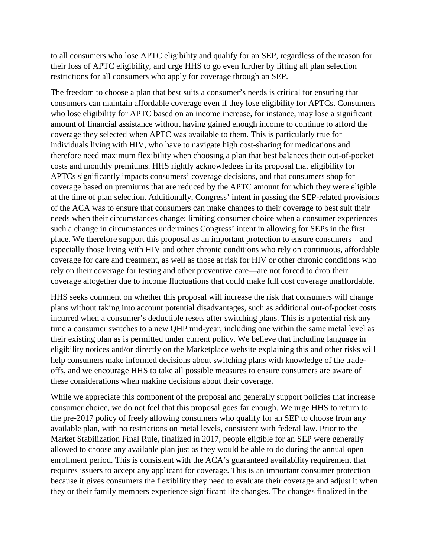to all consumers who lose APTC eligibility and qualify for an SEP, regardless of the reason for their loss of APTC eligibility, and urge HHS to go even further by lifting all plan selection restrictions for all consumers who apply for coverage through an SEP.

The freedom to choose a plan that best suits a consumer's needs is critical for ensuring that consumers can maintain affordable coverage even if they lose eligibility for APTCs. Consumers who lose eligibility for APTC based on an income increase, for instance, may lose a significant amount of financial assistance without having gained enough income to continue to afford the coverage they selected when APTC was available to them. This is particularly true for individuals living with HIV, who have to navigate high cost-sharing for medications and therefore need maximum flexibility when choosing a plan that best balances their out-of-pocket costs and monthly premiums. HHS rightly acknowledges in its proposal that eligibility for APTCs significantly impacts consumers' coverage decisions, and that consumers shop for coverage based on premiums that are reduced by the APTC amount for which they were eligible at the time of plan selection. Additionally, Congress' intent in passing the SEP-related provisions of the ACA was to ensure that consumers can make changes to their coverage to best suit their needs when their circumstances change; limiting consumer choice when a consumer experiences such a change in circumstances undermines Congress' intent in allowing for SEPs in the first place. We therefore support this proposal as an important protection to ensure consumers—and especially those living with HIV and other chronic conditions who rely on continuous, affordable coverage for care and treatment, as well as those at risk for HIV or other chronic conditions who rely on their coverage for testing and other preventive care—are not forced to drop their coverage altogether due to income fluctuations that could make full cost coverage unaffordable.

HHS seeks comment on whether this proposal will increase the risk that consumers will change plans without taking into account potential disadvantages, such as additional out-of-pocket costs incurred when a consumer's deductible resets after switching plans. This is a potential risk any time a consumer switches to a new QHP mid-year, including one within the same metal level as their existing plan as is permitted under current policy. We believe that including language in eligibility notices and/or directly on the Marketplace website explaining this and other risks will help consumers make informed decisions about switching plans with knowledge of the tradeoffs, and we encourage HHS to take all possible measures to ensure consumers are aware of these considerations when making decisions about their coverage.

While we appreciate this component of the proposal and generally support policies that increase consumer choice, we do not feel that this proposal goes far enough. We urge HHS to return to the pre-2017 policy of freely allowing consumers who qualify for an SEP to choose from any available plan, with no restrictions on metal levels, consistent with federal law. Prior to the Market Stabilization Final Rule, finalized in 2017, people eligible for an SEP were generally allowed to choose any available plan just as they would be able to do during the annual open enrollment period. This is consistent with the ACA's guaranteed availability requirement that requires issuers to accept any applicant for coverage. This is an important consumer protection because it gives consumers the flexibility they need to evaluate their coverage and adjust it when they or their family members experience significant life changes. The changes finalized in the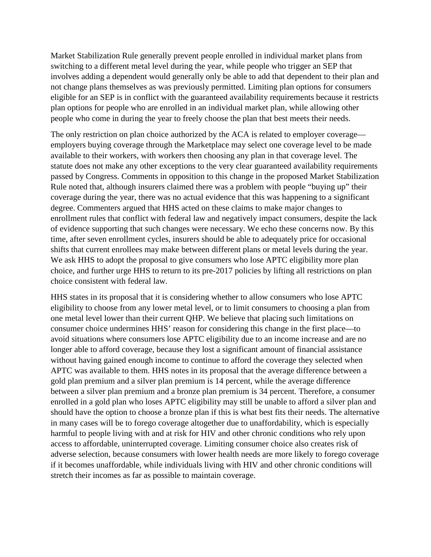Market Stabilization Rule generally prevent people enrolled in individual market plans from switching to a different metal level during the year, while people who trigger an SEP that involves adding a dependent would generally only be able to add that dependent to their plan and not change plans themselves as was previously permitted. Limiting plan options for consumers eligible for an SEP is in conflict with the guaranteed availability requirements because it restricts plan options for people who are enrolled in an individual market plan, while allowing other people who come in during the year to freely choose the plan that best meets their needs.

The only restriction on plan choice authorized by the ACA is related to employer coverage employers buying coverage through the Marketplace may select one coverage level to be made available to their workers, with workers then choosing any plan in that coverage level. The statute does not make any other exceptions to the very clear guaranteed availability requirements passed by Congress. Comments in opposition to this change in the proposed Market Stabilization Rule noted that, although insurers claimed there was a problem with people "buying up" their coverage during the year, there was no actual evidence that this was happening to a significant degree. Commenters argued that HHS acted on these claims to make major changes to enrollment rules that conflict with federal law and negatively impact consumers, despite the lack of evidence supporting that such changes were necessary. We echo these concerns now. By this time, after seven enrollment cycles, insurers should be able to adequately price for occasional shifts that current enrollees may make between different plans or metal levels during the year. We ask HHS to adopt the proposal to give consumers who lose APTC eligibility more plan choice, and further urge HHS to return to its pre-2017 policies by lifting all restrictions on plan choice consistent with federal law.

HHS states in its proposal that it is considering whether to allow consumers who lose APTC eligibility to choose from any lower metal level, or to limit consumers to choosing a plan from one metal level lower than their current QHP. We believe that placing such limitations on consumer choice undermines HHS' reason for considering this change in the first place—to avoid situations where consumers lose APTC eligibility due to an income increase and are no longer able to afford coverage, because they lost a significant amount of financial assistance without having gained enough income to continue to afford the coverage they selected when APTC was available to them. HHS notes in its proposal that the average difference between a gold plan premium and a silver plan premium is 14 percent, while the average difference between a silver plan premium and a bronze plan premium is 34 percent. Therefore, a consumer enrolled in a gold plan who loses APTC eligibility may still be unable to afford a silver plan and should have the option to choose a bronze plan if this is what best fits their needs. The alternative in many cases will be to forego coverage altogether due to unaffordability, which is especially harmful to people living with and at risk for HIV and other chronic conditions who rely upon access to affordable, uninterrupted coverage. Limiting consumer choice also creates risk of adverse selection, because consumers with lower health needs are more likely to forego coverage if it becomes unaffordable, while individuals living with HIV and other chronic conditions will stretch their incomes as far as possible to maintain coverage.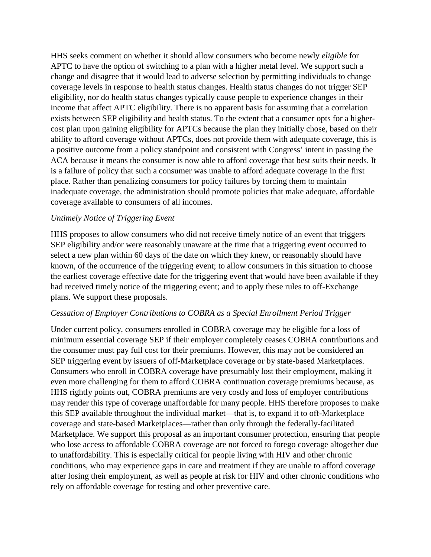HHS seeks comment on whether it should allow consumers who become newly *eligible* for APTC to have the option of switching to a plan with a higher metal level. We support such a change and disagree that it would lead to adverse selection by permitting individuals to change coverage levels in response to health status changes. Health status changes do not trigger SEP eligibility, nor do health status changes typically cause people to experience changes in their income that affect APTC eligibility. There is no apparent basis for assuming that a correlation exists between SEP eligibility and health status. To the extent that a consumer opts for a highercost plan upon gaining eligibility for APTCs because the plan they initially chose, based on their ability to afford coverage without APTCs, does not provide them with adequate coverage, this is a positive outcome from a policy standpoint and consistent with Congress' intent in passing the ACA because it means the consumer is now able to afford coverage that best suits their needs. It is a failure of policy that such a consumer was unable to afford adequate coverage in the first place. Rather than penalizing consumers for policy failures by forcing them to maintain inadequate coverage, the administration should promote policies that make adequate, affordable coverage available to consumers of all incomes.

#### *Untimely Notice of Triggering Event*

HHS proposes to allow consumers who did not receive timely notice of an event that triggers SEP eligibility and/or were reasonably unaware at the time that a triggering event occurred to select a new plan within 60 days of the date on which they knew, or reasonably should have known, of the occurrence of the triggering event; to allow consumers in this situation to choose the earliest coverage effective date for the triggering event that would have been available if they had received timely notice of the triggering event; and to apply these rules to off-Exchange plans. We support these proposals.

#### *Cessation of Employer Contributions to COBRA as a Special Enrollment Period Trigger*

Under current policy, consumers enrolled in COBRA coverage may be eligible for a loss of minimum essential coverage SEP if their employer completely ceases COBRA contributions and the consumer must pay full cost for their premiums. However, this may not be considered an SEP triggering event by issuers of off-Marketplace coverage or by state-based Marketplaces. Consumers who enroll in COBRA coverage have presumably lost their employment, making it even more challenging for them to afford COBRA continuation coverage premiums because, as HHS rightly points out, COBRA premiums are very costly and loss of employer contributions may render this type of coverage unaffordable for many people. HHS therefore proposes to make this SEP available throughout the individual market—that is, to expand it to off-Marketplace coverage and state-based Marketplaces—rather than only through the federally-facilitated Marketplace. We support this proposal as an important consumer protection, ensuring that people who lose access to affordable COBRA coverage are not forced to forego coverage altogether due to unaffordability. This is especially critical for people living with HIV and other chronic conditions, who may experience gaps in care and treatment if they are unable to afford coverage after losing their employment, as well as people at risk for HIV and other chronic conditions who rely on affordable coverage for testing and other preventive care.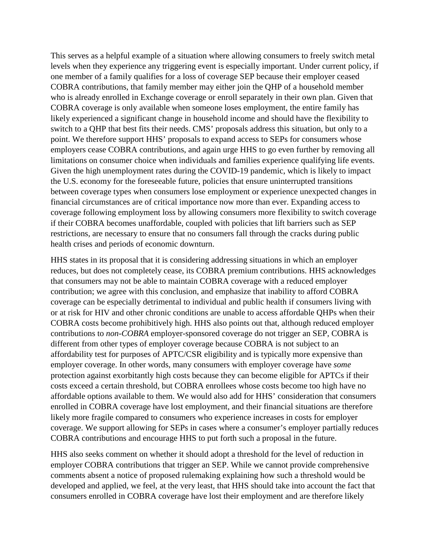This serves as a helpful example of a situation where allowing consumers to freely switch metal levels when they experience any triggering event is especially important. Under current policy, if one member of a family qualifies for a loss of coverage SEP because their employer ceased COBRA contributions, that family member may either join the QHP of a household member who is already enrolled in Exchange coverage or enroll separately in their own plan. Given that COBRA coverage is only available when someone loses employment, the entire family has likely experienced a significant change in household income and should have the flexibility to switch to a QHP that best fits their needs. CMS' proposals address this situation, but only to a point. We therefore support HHS' proposals to expand access to SEPs for consumers whose employers cease COBRA contributions, and again urge HHS to go even further by removing all limitations on consumer choice when individuals and families experience qualifying life events. Given the high unemployment rates during the COVID-19 pandemic, which is likely to impact the U.S. economy for the foreseeable future, policies that ensure uninterrupted transitions between coverage types when consumers lose employment or experience unexpected changes in financial circumstances are of critical importance now more than ever. Expanding access to coverage following employment loss by allowing consumers more flexibility to switch coverage if their COBRA becomes unaffordable, coupled with policies that lift barriers such as SEP restrictions, are necessary to ensure that no consumers fall through the cracks during public health crises and periods of economic downturn.

HHS states in its proposal that it is considering addressing situations in which an employer reduces, but does not completely cease, its COBRA premium contributions. HHS acknowledges that consumers may not be able to maintain COBRA coverage with a reduced employer contribution; we agree with this conclusion, and emphasize that inability to afford COBRA coverage can be especially detrimental to individual and public health if consumers living with or at risk for HIV and other chronic conditions are unable to access affordable QHPs when their COBRA costs become prohibitively high. HHS also points out that, although reduced employer contributions to *non-COBRA* employer-sponsored coverage do not trigger an SEP, COBRA is different from other types of employer coverage because COBRA is not subject to an affordability test for purposes of APTC/CSR eligibility and is typically more expensive than employer coverage. In other words, many consumers with employer coverage have *some*  protection against exorbitantly high costs because they can become eligible for APTCs if their costs exceed a certain threshold, but COBRA enrollees whose costs become too high have no affordable options available to them. We would also add for HHS' consideration that consumers enrolled in COBRA coverage have lost employment, and their financial situations are therefore likely more fragile compared to consumers who experience increases in costs for employer coverage. We support allowing for SEPs in cases where a consumer's employer partially reduces COBRA contributions and encourage HHS to put forth such a proposal in the future.

HHS also seeks comment on whether it should adopt a threshold for the level of reduction in employer COBRA contributions that trigger an SEP. While we cannot provide comprehensive comments absent a notice of proposed rulemaking explaining how such a threshold would be developed and applied, we feel, at the very least, that HHS should take into account the fact that consumers enrolled in COBRA coverage have lost their employment and are therefore likely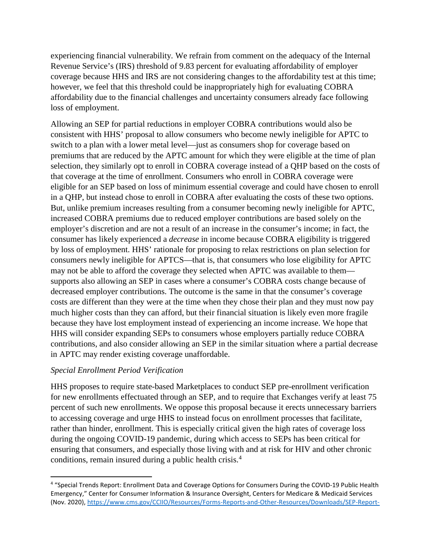experiencing financial vulnerability. We refrain from comment on the adequacy of the Internal Revenue Service's (IRS) threshold of 9.83 percent for evaluating affordability of employer coverage because HHS and IRS are not considering changes to the affordability test at this time; however, we feel that this threshold could be inappropriately high for evaluating COBRA affordability due to the financial challenges and uncertainty consumers already face following loss of employment.

Allowing an SEP for partial reductions in employer COBRA contributions would also be consistent with HHS' proposal to allow consumers who become newly ineligible for APTC to switch to a plan with a lower metal level—just as consumers shop for coverage based on premiums that are reduced by the APTC amount for which they were eligible at the time of plan selection, they similarly opt to enroll in COBRA coverage instead of a QHP based on the costs of that coverage at the time of enrollment. Consumers who enroll in COBRA coverage were eligible for an SEP based on loss of minimum essential coverage and could have chosen to enroll in a QHP, but instead chose to enroll in COBRA after evaluating the costs of these two options. But, unlike premium increases resulting from a consumer becoming newly ineligible for APTC, increased COBRA premiums due to reduced employer contributions are based solely on the employer's discretion and are not a result of an increase in the consumer's income; in fact, the consumer has likely experienced a *decrease* in income because COBRA eligibility is triggered by loss of employment. HHS' rationale for proposing to relax restrictions on plan selection for consumers newly ineligible for APTCS—that is, that consumers who lose eligibility for APTC may not be able to afford the coverage they selected when APTC was available to them supports also allowing an SEP in cases where a consumer's COBRA costs change because of decreased employer contributions. The outcome is the same in that the consumer's coverage costs are different than they were at the time when they chose their plan and they must now pay much higher costs than they can afford, but their financial situation is likely even more fragile because they have lost employment instead of experiencing an income increase. We hope that HHS will consider expanding SEPs to consumers whose employers partially reduce COBRA contributions, and also consider allowing an SEP in the similar situation where a partial decrease in APTC may render existing coverage unaffordable.

### *Special Enrollment Period Verification*

HHS proposes to require state-based Marketplaces to conduct SEP pre-enrollment verification for new enrollments effectuated through an SEP, and to require that Exchanges verify at least 75 percent of such new enrollments. We oppose this proposal because it erects unnecessary barriers to accessing coverage and urge HHS to instead focus on enrollment processes that facilitate, rather than hinder, enrollment. This is especially critical given the high rates of coverage loss during the ongoing COVID-19 pandemic, during which access to SEPs has been critical for ensuring that consumers, and especially those living with and at risk for HIV and other chronic conditions, remain insured during a public health crisis.[4](#page-8-0)

<span id="page-8-0"></span> <sup>4</sup> "Special Trends Report: Enrollment Data and Coverage Options for Consumers During the COVID-19 Public Health Emergency," Center for Consumer Information & Insurance Oversight, Centers for Medicare & Medicaid Services (Nov. 2020), [https://www.cms.gov/CCIIO/Resources/Forms-Reports-and-Other-Resources/Downloads/SEP-Report-](https://www.cms.gov/CCIIO/Resources/Forms-Reports-and-Other-Resources/Downloads/SEP-Report-Nov-2020.pdf)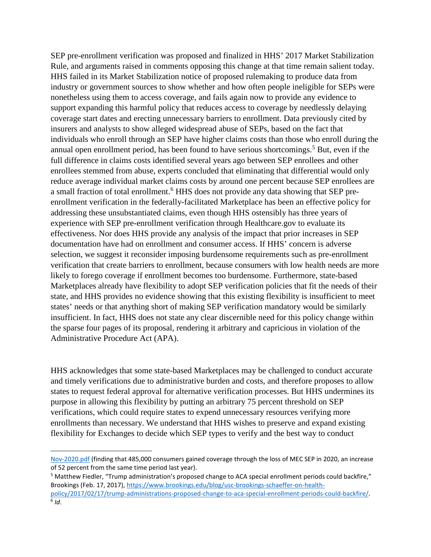SEP pre-enrollment verification was proposed and finalized in HHS' 2017 Market Stabilization Rule, and arguments raised in comments opposing this change at that time remain salient today. HHS failed in its Market Stabilization notice of proposed rulemaking to produce data from industry or government sources to show whether and how often people ineligible for SEPs were nonetheless using them to access coverage, and fails again now to provide any evidence to support expanding this harmful policy that reduces access to coverage by needlessly delaying coverage start dates and erecting unnecessary barriers to enrollment. Data previously cited by insurers and analysts to show alleged widespread abuse of SEPs, based on the fact that individuals who enroll through an SEP have higher claims costs than those who enroll during the annual open enrollment period, has been found to have serious shortcomings.<sup>[5](#page-9-0)</sup> But, even if the full difference in claims costs identified several years ago between SEP enrollees and other enrollees stemmed from abuse, experts concluded that eliminating that differential would only reduce average individual market claims costs by around one percent because SEP enrollees are a small fraction of total enrollment.<sup>[6](#page-9-1)</sup> HHS does not provide any data showing that SEP preenrollment verification in the federally-facilitated Marketplace has been an effective policy for addressing these unsubstantiated claims, even though HHS ostensibly has three years of experience with SEP pre-enrollment verification through Healthcare.gov to evaluate its effectiveness. Nor does HHS provide any analysis of the impact that prior increases in SEP documentation have had on enrollment and consumer access. If HHS' concern is adverse selection, we suggest it reconsider imposing burdensome requirements such as pre-enrollment verification that create barriers to enrollment, because consumers with low health needs are more likely to forego coverage if enrollment becomes too burdensome. Furthermore, state-based Marketplaces already have flexibility to adopt SEP verification policies that fit the needs of their state, and HHS provides no evidence showing that this existing flexibility is insufficient to meet states' needs or that anything short of making SEP verification mandatory would be similarly insufficient. In fact, HHS does not state any clear discernible need for this policy change within the sparse four pages of its proposal, rendering it arbitrary and capricious in violation of the Administrative Procedure Act (APA).

HHS acknowledges that some state-based Marketplaces may be challenged to conduct accurate and timely verifications due to administrative burden and costs, and therefore proposes to allow states to request federal approval for alternative verification processes. But HHS undermines its purpose in allowing this flexibility by putting an arbitrary 75 percent threshold on SEP verifications, which could require states to expend unnecessary resources verifying more enrollments than necessary. We understand that HHS wishes to preserve and expand existing flexibility for Exchanges to decide which SEP types to verify and the best way to conduct

l

[Nov-2020.pdf](https://www.cms.gov/CCIIO/Resources/Forms-Reports-and-Other-Resources/Downloads/SEP-Report-Nov-2020.pdf) (finding that 485,000 consumers gained coverage through the loss of MEC SEP in 2020, an increase of 52 percent from the same time period last year).

<span id="page-9-1"></span><span id="page-9-0"></span><sup>5</sup> Matthew Fiedler, "Trump administration's proposed change to ACA special enrollment periods could backfire," Brookings (Feb. 17, 2017), [https://www.brookings.edu/blog/usc-brookings-schaeffer-on-health](https://www.brookings.edu/blog/usc-brookings-schaeffer-on-health-policy/2017/02/17/trump-administrations-proposed-change-to-aca-special-enrollment-periods-could-backfire/)[policy/2017/02/17/trump-administrations-proposed-change-to-aca-special-enrollment-periods-could-backfire/.](https://www.brookings.edu/blog/usc-brookings-schaeffer-on-health-policy/2017/02/17/trump-administrations-proposed-change-to-aca-special-enrollment-periods-could-backfire/) 6 *Id*.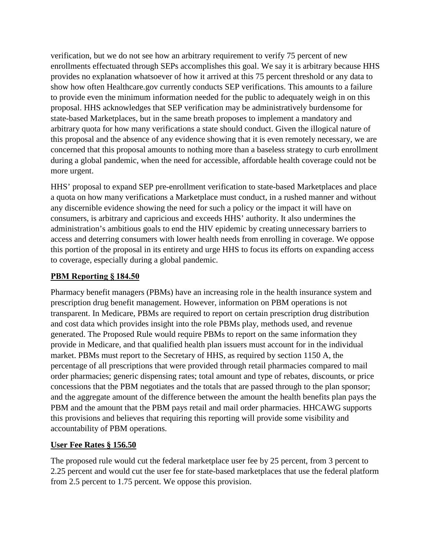verification, but we do not see how an arbitrary requirement to verify 75 percent of new enrollments effectuated through SEPs accomplishes this goal. We say it is arbitrary because HHS provides no explanation whatsoever of how it arrived at this 75 percent threshold or any data to show how often Healthcare.gov currently conducts SEP verifications. This amounts to a failure to provide even the minimum information needed for the public to adequately weigh in on this proposal. HHS acknowledges that SEP verification may be administratively burdensome for state-based Marketplaces, but in the same breath proposes to implement a mandatory and arbitrary quota for how many verifications a state should conduct. Given the illogical nature of this proposal and the absence of any evidence showing that it is even remotely necessary, we are concerned that this proposal amounts to nothing more than a baseless strategy to curb enrollment during a global pandemic, when the need for accessible, affordable health coverage could not be more urgent.

HHS' proposal to expand SEP pre-enrollment verification to state-based Marketplaces and place a quota on how many verifications a Marketplace must conduct, in a rushed manner and without any discernible evidence showing the need for such a policy or the impact it will have on consumers, is arbitrary and capricious and exceeds HHS' authority. It also undermines the administration's ambitious goals to end the HIV epidemic by creating unnecessary barriers to access and deterring consumers with lower health needs from enrolling in coverage. We oppose this portion of the proposal in its entirety and urge HHS to focus its efforts on expanding access to coverage, especially during a global pandemic.

## **PBM Reporting § 184.50**

Pharmacy benefit managers (PBMs) have an increasing role in the health insurance system and prescription drug benefit management. However, information on PBM operations is not transparent. In Medicare, PBMs are required to report on certain prescription drug distribution and cost data which provides insight into the role PBMs play, methods used, and revenue generated. The Proposed Rule would require PBMs to report on the same information they provide in Medicare, and that qualified health plan issuers must account for in the individual market. PBMs must report to the Secretary of HHS, as required by section 1150 A, the percentage of all prescriptions that were provided through retail pharmacies compared to mail order pharmacies; generic dispensing rates; total amount and type of rebates, discounts, or price concessions that the PBM negotiates and the totals that are passed through to the plan sponsor; and the aggregate amount of the difference between the amount the health benefits plan pays the PBM and the amount that the PBM pays retail and mail order pharmacies. HHCAWG supports this provisions and believes that requiring this reporting will provide some visibility and accountability of PBM operations.

### **User Fee Rates § 156.50**

The proposed rule would cut the federal marketplace user fee by 25 percent, from 3 percent to 2.25 percent and would cut the user fee for state-based marketplaces that use the federal platform from 2.5 percent to 1.75 percent. We oppose this provision.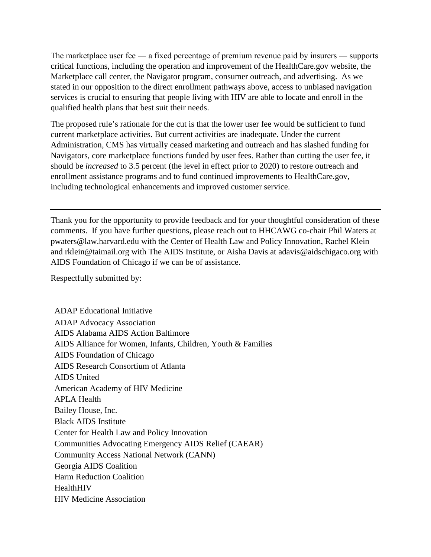The marketplace user fee — a fixed percentage of premium revenue paid by insurers — supports critical functions, including the operation and improvement of the HealthCare.gov website, the Marketplace call center, the Navigator program, consumer outreach, and advertising. As we stated in our opposition to the direct enrollment pathways above, access to unbiased navigation services is crucial to ensuring that people living with HIV are able to locate and enroll in the qualified health plans that best suit their needs.

The proposed rule's rationale for the cut is that the lower user fee would be sufficient to fund current marketplace activities. But current activities are inadequate. Under the current Administration, CMS has virtually ceased marketing and outreach and has slashed funding for Navigators, core marketplace functions funded by user fees. Rather than cutting the user fee, it should be *increased* to 3.5 percent (the level in effect prior to 2020) to restore outreach and enrollment assistance programs and to fund continued improvements to HealthCare.gov, including technological enhancements and improved customer service.

Thank you for the opportunity to provide feedback and for your thoughtful consideration of these comments. If you have further questions, please reach out to HHCAWG co-chair Phil Waters at pwaters@law.harvard.edu with the Center of Health Law and Policy Innovation, Rachel Klein and rklein@taimail.org with The AIDS Institute, or Aisha Davis at adavis@aidschigaco.org with AIDS Foundation of Chicago if we can be of assistance.

Respectfully submitted by:

ADAP Educational Initiative ADAP Advocacy Association AIDS Alabama AIDS Action Baltimore AIDS Alliance for Women, Infants, Children, Youth & Families AIDS Foundation of Chicago AIDS Research Consortium of Atlanta AIDS United American Academy of HIV Medicine APLA Health Bailey House, Inc. Black AIDS Institute Center for Health Law and Policy Innovation Communities Advocating Emergency AIDS Relief (CAEAR) Community Access National Network (CANN) Georgia AIDS Coalition Harm Reduction Coalition HealthHIV HIV Medicine Association